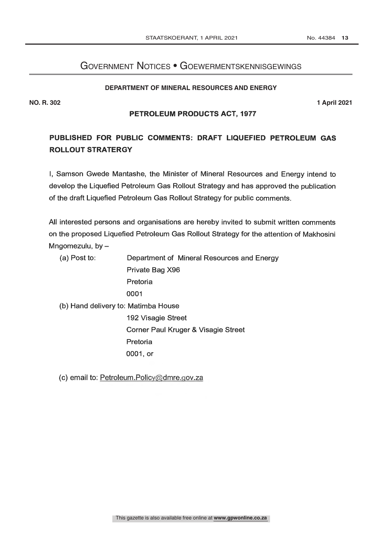## Government Notices • Goewermentskennisgewings

#### **DEPARTMENT OF MINERAL RESOURCES AND ENERGY**

**NO. R. 302 1 April 2021**

#### PETROLEUM PRODUCTS ACT, 1977

# PUBLISHED FOR PUBLIC COMMENTS: DRAFT LIQUEFIED PETROLEUM GAS ROLLOUT STRATERGY

I, Samson Gwede Mantashe, the Minister of Mineral Resources and Energy intend to develop the Liquefied Petroleum Gas Rollout Strategy and has approved the publication of the draft Liquefied Petroleum Gas Rollout Strategy for public comments.

All interested persons and organisations are hereby invited to submit written comments on the proposed Liquefied Petroleum Gas Rollout Strategy for the attention of Makhosini Mngomezulu, by  $-$ 

(a) Post to: Department of Mineral Resources and Energy Private Bag X96 Pretoria 0001 (b) Hand delivery to: Matimba House 192 Visagie Street Corner Paul Kruger & Visagie Street Pretoria 0001, or

(c) email to: Petroleum.Policy@dmre.gov.za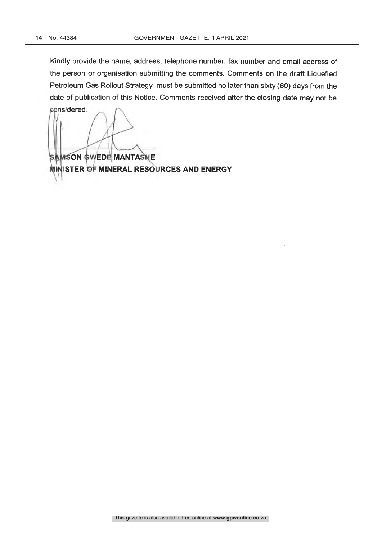Kindly provide the name, address, telephone number, fax number and email address of the person or organisation submitting the comments. Comments on the draft Liquefied Petroleum Gas Rollout Strategy must be submitted no later than sixty (60) days from the date of publication of this Notice. Comments received after the closing date may not be

considered.

**SAMSON GWEDE MANTASHE** MINISTER OF MINERAL RESOURCES AND ENERGY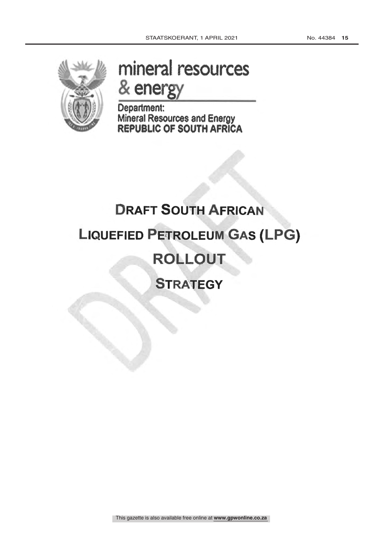

# energy and the sense of the sense of the sense of the sense of the sense of the sense of the sense of the sense of the sense of the sense of the sense of the sense of the sense of the sense of the sense of the sense of the mineral resources

Department: Mineral Resources and Energy REPUBLIC OF SOUTH AFRICA

# **DRAFT SOUTH AFRICAN** LIQUEFIED PETROLEUM GAS (LPG) ROLLOUT **STRATEGY**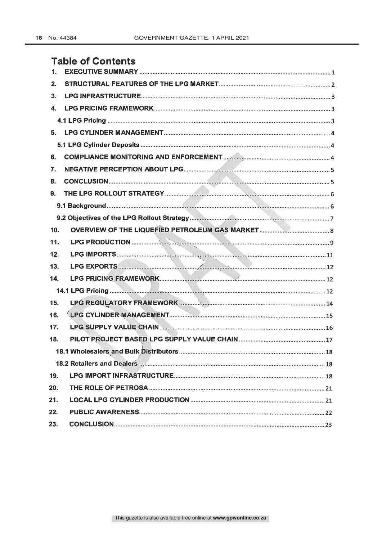# Table of Contents

| 1.              |  |
|-----------------|--|
| 2.              |  |
| 3.              |  |
|                 |  |
|                 |  |
|                 |  |
|                 |  |
| 6.              |  |
| 7.              |  |
| 8.              |  |
|                 |  |
|                 |  |
|                 |  |
| 10 <sub>1</sub> |  |
| 11.             |  |
| 12.             |  |
| 13.             |  |
| 14.             |  |
|                 |  |
| 15.             |  |
| 16.             |  |
| 17.             |  |
| 18.             |  |
|                 |  |
|                 |  |
| 19.             |  |
| 20.             |  |
| 21.             |  |
| 22.             |  |
| 23.             |  |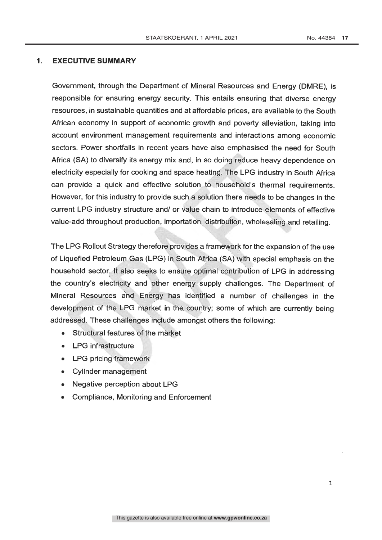#### 1. EXECUTIVE SUMMARY

Government, through the Department of Mineral Resources and Energy (DMRE), is responsible for ensuring energy security. This entails ensuring that diverse energy resources, in sustainable quantities and at affordable prices, are available to the South African economy in support of economic growth and poverty alleviation, taking into account environment management requirements and interactions among economic sectors. Power shortfalls in recent years have also emphasised the need for South Africa (SA) to diversify its energy mix and, in so doing reduce heavy dependence on electricity especially for cooking and space heating. The LPG industry in South Africa can provide a quick and effective solution to household's thermal requirements. However, for this industry to provide such a solution there needs to be changes in the current LPG industry structure and/ or value chain to introduce elements of effective value -add throughout production, importation., distribution, wholesaling and retailing.

The LPG Rollout Strategy therefore provides a framework for the expansion of the use of Liquefied Petroleum Gas (LPG) in South Africa (SA) with special emphasis on the household sector. It also seeks to ensure optimal contribution of LPG in addressing the country's electricity and 'ether energy supply challenges. The Department of Mineral Resources ànd Energy has identified a number of challenges in the development of the LPG market in the country; some of which are currently being addressed. These challenges include amongst others the following:

- Structural features of the màrket
- LPG infrastructure
- LPG pricing framework
- Cylinder management
- Negative perception about LPG
- Compliance, Monitoring and Enforcement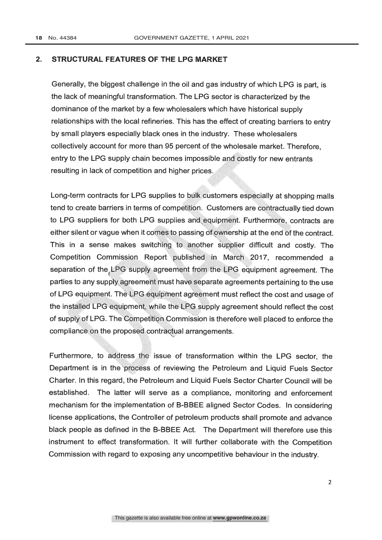#### 2. STRUCTURAL FEATURES OF THE LPG MARKET

Generally, the biggest challenge in the oil and gas industry of which LPG is part, is the lack of meaningful transformation. The LPG sector is characterized by the dominance of the market by a few wholesalers which have historical supply relationships with the local refineries. This has the effect of creating barriers to entry by small players especially black ones in the industry. These wholesalers collectively account for more than 95 percent of the wholesale market. Therefore, entry to the LPG supply chain becomes impossible and costly for new entrants resulting in lack of competition and higher prices.

Long-term contracts for LPG supplies to bulk customers especially at shopping malls tend to create barriers in terms of competition. Customers are contractually tied down to LPG suppliers for both LPG supplies and\equipment. Furthermore, contracts are either silent or vague when it comes to passing of ownership at the end of the contract. This in a sense makes switching to another supplier difficult and costly. The Competition Commission. Report published in March 2017, recommended a separation of the LPG supply agreement from the LPG equipment agreement. The parties to any supply agreement must have separate agreements pertaining to the use of LPG equipment. Thè LPG/equipment agreement must reflect the cost and usage of the installed LPG equipmeñ, while the LPG supply agreement should reflect the cost of supply of LPG. The Competition Commission is therefore well placed to enforce the compliance on the proposed contractual arrangements.

Furthermore, to address the issue of transformation within the LPG sector, the Department is in the process of reviewing the Petroleum and Liquid Fuels Sector Charter. In this regard, the Petroleum and Liquid Fuels Sector Charter Council will be established. The latter will serve as a compliance, monitoring and enforcement mechanism for the implementation of B-BBEE aligned Sector Codes. In considering license applications, the Controller of petroleum products shall promote and advance black people as defined in the B -BBEE Act. The Department will therefore use this instrument to effect transformation. It will further collaborate with the Competition Commission with regard to exposing any uncompetitive behaviour in the industry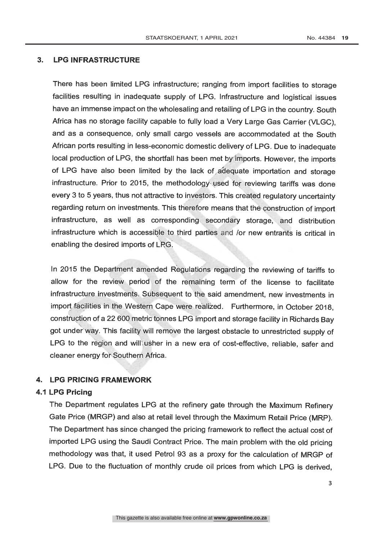#### 3. LPG INFRASTRUCTURE

There has been limited LPG infrastructure; ranging from import facilities to storage facilities resulting in inadequate supply of LPG. Infrastructure and logistical issues have an immense impact on the wholesaling and retailing of LPG in the country. South Africa has no storage facility capable to fully load a Very Large Gas Carrier (VLGC), and as a consequence, only small cargo vessels are accommodated at the South African ports resulting in less-economic domestic delivery of LPG. Due to inadequate local production of LPG, the shortfall has been met by'imports. However, the imports of LPG have also been limited by the lack of adequate importation and storage infrastructure. Prior to 2015, the methodology used for reviewing tariffs was done every 3 to 5 years, thus not attractive to investors. This created regulatory uncertainty regarding return on investments. This therefore means that the construction of import infrastructure, as well as corresponding secondary storage, and distribution infrastructure which is accessible to third parties and /or new entrants is critical in enabling the desired imports of LPG,

In 2015 the Department amended Regulations regarding the reviewing of tariffs to allow for the review period of the remaining term of the license to facilitate infrastructure investments. Subsequent to the said amendment, new investments in import facilities in the Western Cape were realized. Furthermore, in October 2018, construction of a 22 600 metric tonnes LPG import and storage facility in Richards Bay got under way. This facility will remove the largest obstacle to unrestricted supply of LPG to the region and will usher in a new era of cost-effective, reliable, safer and cleaner energy for Southern Africa.

#### 4. LPG PRICING FRAMEWORK

#### 4.1 LPG Pricing

The Department regulates LPG at the refinery gate through the Maximum Refinery Gate Price (MRGP) and also at retail level through the Maximum Retail Price (MRP). The Department has since changed the pricing framework to reflect the actual cost of imported LPG using the Saudi Contract Price. The main problem with the old pricing methodology was that, it used Petrol 93 as a proxy for the calculation of MRGP of LPG. Due to the fluctuation of monthly crude oil prices from which LPG is derived,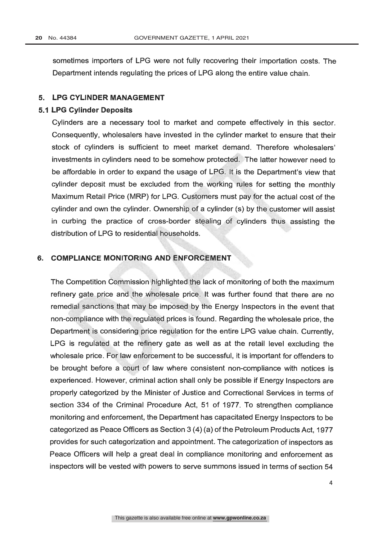sometimes importers of LPG were not fully recovering their importation costs. The Department intends regulating the prices of LPG along the entire value chain.

#### 5. LPG CYLINDER MANAGEMENT

#### 5.1 LPG Cylinder Deposits

Cylinders are a necessary tool to market and compete effectively in this sector. Consequently, wholesalers have invested in the cylinder market to ensure that their stock of cylinders is sufficient to meet market demand. Therefore wholesalers' investments in cylinders need to be somehow protected. The latter however need to be affordable in order to expand the usage of LPG. It is the Department's view that cylinder deposit must be excluded from the working rules for setting the monthly Maximum Retail Price (MRP) for LPG. Customers must pay for the actual cost of the cylinder and own the cylinder. Ownership of a cylinder (s) by the customer will assist in curbing the practice of cross -border stealing of cylinders thus assisting the distribution of LPG to residential households.

#### 6. COMPLIANCE MONITORING AND ENFORCEMENT

The Competition Commission highlighted the lack of monitoring of both the maximum refinery gate price and the wholesale price. It was further found that there are no remedial sanctions that may be imposed by the Energy Inspectors in the event that non-compliance with the regulated prices is found. Regarding the wholesale price, the Department is considering price regulation for the entire LPG value chain. Currently, LPG is regulated at the refinery gate as well as at the retail level excluding the wholesale price. For law enforcement to be successful, it is important for offenders to be brought before a court of law where consistent non -compliance with notices is experienced. However, criminal action shall only be possible if Energy Inspectors are properly categorized by the Minister of Justice and Correctional Services in terms of section 334 of the Criminal Procedure Act, 51 of 1977. To strengthen compliance monitoring and enforcement, the Department has capacitated Energy Inspectors to be categorized as Peace Officers as Section 3 (4) (a) of the Petroleum Products Act, 1977 provides for such categorization and appointment. The categorization of inspectors as Peace Officers will help a great deal in compliance monitoring and enforcement as inspectors will be vested with powers to serve summons issued in terms of section 54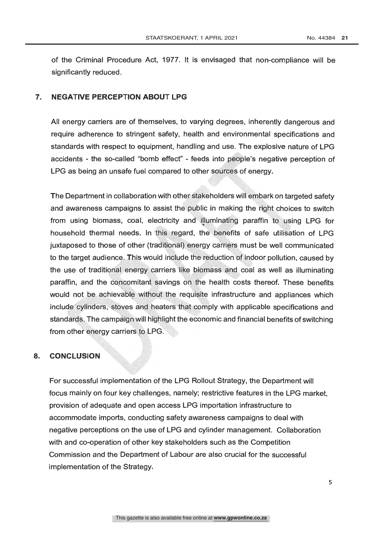of the Criminal Procedure Act, 1977. It is envisaged that non -compliance will be significantly reduced

#### 7. NEGATIVE PERCEPTION ABOUT LPG

All energy carriers are of themselves, to varying degrees, inherently dangerous and require adherence to stringent safety, health and environmental specifications and standards with respect to equipment, handling and use. The explosive nature of LPG accidents - the so- called "bomb effect" - feeds into people's negative perception of LPG as being an unsafe fuel compared to other sources of energy.

The Department in collaboration with other stakeholders will embark on targeted safety and awareness campaigns to assist the public in making the right choices to switch from using biomass, coal, electricity and illuminating paraffin to using LPG for household thermal needs. In this regard, the benefits of safe utilisation of LPG juxtaposed to those of other (traditional) energy carriers must be well communicated to the target audience. This would include the reduction of indoor pollution, caused by the use of traditional energy carriers like biomass and coal as well as illuminating paraffin, and the concomitant savings on the health costs thereof. These benefits would not be achievable without the requisite infrastructure and appliances which include cylinders, stoves and heaters that comply with applicable specifications and standards. The campàign will highlight the economic and financial benefits of switching from other energy carriers to LPG.

#### 8. CONCLUSION

For successful implementation of the LPG Rollout Strategy, the Department will focus mainly on four key challenges, namely; restrictive features in the LPG market, provision of adequate and open access LPG importation infrastructure to accommodate imports, conducting safety awareness campaigns to deal with negative perceptions on the use of LPG and cylinder management. Collaboration with and co-operation of other key stakeholders such as the Competition Commission and the Department of Labour are also crucial for the successful implementation of the Strategy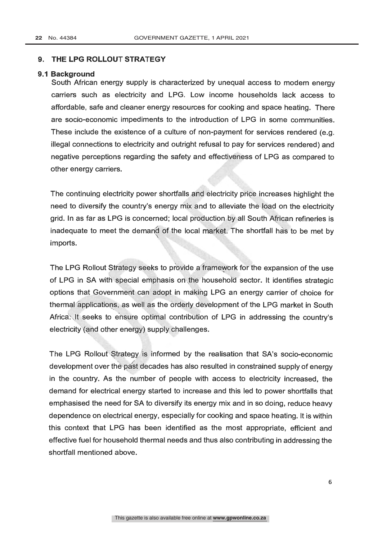#### 9. THE LPG ROLLOUT STRATEGY

#### 9.1 Background

South African energy supply is characterized by unequal access to modern energy carriers such as electricity and LPG. Low income households lack access to affordable, safe and cleaner energy resources for cooking and space heating. There are socio-economic impediments to the introduction of LPG in some communities. These include the existence of a culture of non-payment for services rendered (e.g. illegal connections to electricity and outright refusal to pay for services rendered) and negative perceptions regarding the safety and effectiveness of LPG as compared to other energy carriers. illegal connections to electricity and outright refusal to pay for services rendered) and<br>negative perceptions regarding the safety and effectiveness of LPG as compared to<br>other energy carriers.<br>The continuing electricity

need to diversify the country's energy mix and to alleviate the load on the electricity grid. In as far as LPG is concerned; local production by all South African refineries is inadequate to meet the demand of the local market. The shortfall has to be met by imports.

The LPG Rollout Strategy seeks to provide a framework for the expansion of the use of LPG in SA with special emphasis on the household sector. It identifies strategic options that Government can adopt in making LPG an energy carrier of choice for thermal ápplications, as well as the orderly development of the LPG market in South Africa: It seeks to ensure optimal contribution of LPG in addressing the country's electricity (and other energy) supply challenges.

The LPG Rollout Strategy is informed by the realisation that SA's socio-economic development over the past decades has also resulted in constrained supply of energy in the country. As the number of people with access to electricity increased, the demand for electrical energy started to increase and this led to power shortfalls that emphasised the need for SA to diversify its energy mix and in so doing, reduce heavy dependence on electrical energy, especially for cooking and space heating. It is within this context that LPG has been identified as the most appropriate, efficient and effective fuel for household thermal needs and thus also contributing in addressing the shortfall mentioned above.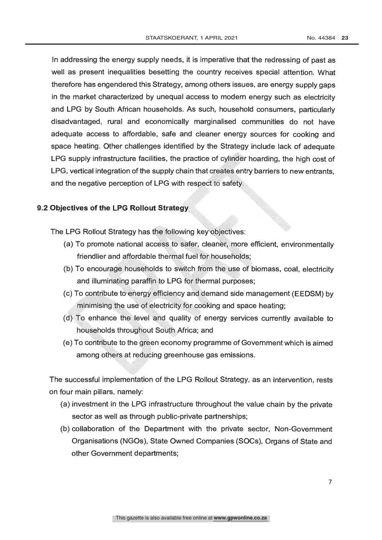In addressing the energy supply needs, it is imperative that the redressing of past as well as present inequalities besetting the country receives special attention. What therefore has engendered this Strategy, among others issues, are energy supply gaps in the market characterized by unequal access to modern energy such as electricity and LPG by South African households. As such, household consumers, particularly disadvantaged, rural and economically marginalised communities do not have adequate access to affordable, safe and cleaner energy sources for cooking and space heating. Other challenges identified by the Strategy include lack of adequate LPG supply infrastructure facilities, the practice of cylinder hoarding, the high cost of LPG, vertical integration of the supply chain that creates entry barriers to new entrants, and the negative perception of LPG with respect to safety. and the negative perception of LPG with respect to safety.<br> **Objectives of the LPG Rollout Strategy**<br>
The LPG Rollout Strategy has the following key`objectives:<br>
(a) To promote national access to safer, cleaner, more effic

#### 9.2 Objectives of the LPG Rollout Strategy

- (a) To promote national access to safer, cleanèr, more efficient, environmentally friendlier and affordable thermal fuel for households;
- (b) To encourage households to switch from the use of biomass, coal, electricity and illuminating paraffin to LPG for thermal purposes;
- (c) To contribute to energy efficiency and demand side management (EEDSM) by minimising the usè of electricity for cooking and space heating;
- (d) To enhance the level and quality of energy services currently available to households throughout South Africa; and
- (e) To contribute to the green economy programme of Government which is aimed among others at reducing greenhouse gas emissions.

The successful implementation of the LPG Rollout Strategy, as an intervention, rests on four main pillars, namely:

- (a) investment in the LPG infrastructure throughout the value chain by the private sector as well as through public-private partnerships;
- (b) collaboration of the Department with the private sector, Non -Government Organisations (NGOs), State Owned Companies (SOCs), Organs of State and other Government departments;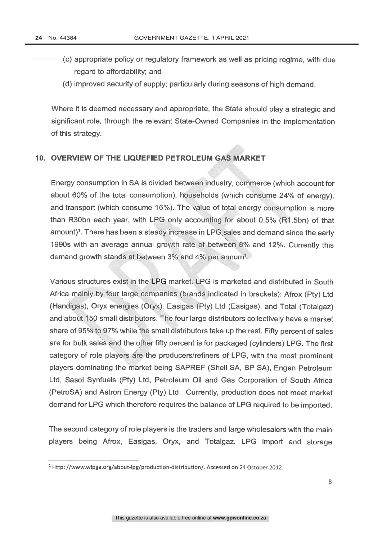- (c) appropriate policy or regulatory framework as well as pricing regime, with due regard to affordability; and
- (d) improved security of supply; particularly during seasons of high demand.

Where it is deemed necessary and appropriate, the State should play a strategic and significant role, through the relevant State -Owned Companies in the implementation of this strategy.

#### 10. OVERVIEW OF THE LIQUEFIED PETROLEUM GAS MARKET

Energy consumption in SA is divided between industry, commerce (which account for about 60% of the total consumption), households (which consume 24% of energy), and transport (which consume 16%). The value of total energy consumption is more than R3Obn each year, with LPG only accounting for about 0.5% (R1.5bn) of that amount)<sup>1</sup>. There has been a steady increase in LPG sales and demand since the early 1990s with an average annual growth rate of between 8% and 12%. Currently this demand growth stands at between 3% and 4% per annum<sup>1</sup>.

Various structures exist in the LPG market. LPG is marketed and distributed in South Africa mainly by four large companies (brands indicated in brackets): Afrox (Pty) Ltd (Handigas), Oryx energies (Oryx), Easigas (Pty) Ltd (Easigas), and Total (Totalgaz) and aboùt,150 small distributors. The four large distributors collectively have a market share of 95% to 97% while the small distributors take up the rest. Fifty percent of sales are for bulk sales and the other fifty percent is for packaged (cylinders) LPG. The first category of role players are the producers/refiners of LPG, with the most prominent players dominating the 'market being SAPREF (Shell SA, BP SA), Engen Petroleum Ltd, Sasol Synfuels (Pty) Ltd, Petroleum Oil and Gas Corporation of South Africa (PetroSA) and Astron Energy (Pty) Ltd. Currently, production does not meet market demand for LPG which therefore requires the balance of LPG required to be imported.

The second category of role players is the traders and large wholesalers with the main players being Afrox, Easigas, Oryx, and Totalgaz. LPG import and storage

<sup>&</sup>lt;sup>1</sup> Http: //www.wlpga.org/about-lpg/production-distribution/. Accessed on 24 October 2012.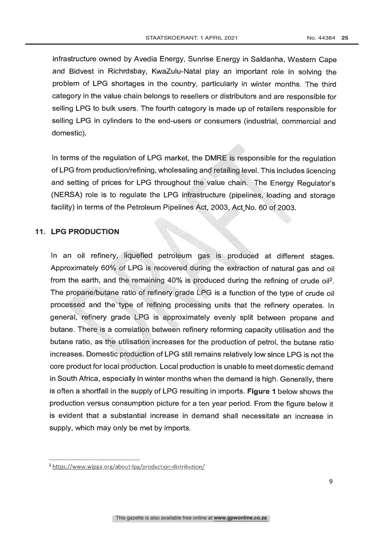infrastructure owned by Avedia Energy, Sunrise Energy in Saldanha, Western Cape and Bidvest in Richrdsbay, KwaZulu -Natal play an important role in solving the problem of LPG shortages in the country, particularly in winter months. The third category in the value chain belongs to resellers or distributors and are responsible for selling LPG to bulk users. The fourth category is made up of retailers responsible for selling LPG in cylinders to the end-users or consumers (industrial, commercial and domestic).

In terms of the regulation of LPG market, the DMRÉ is responsible for the regulation of LPG from production/refining, wholesaling and retailing level. This includes licencing and setting of prices for LPG throughout the value chain. The Energy Regulator's (NERSA) role is to regulate the LPG infrastructure (pipelines, loading and storage facility) in terms of the Petroleum Pipelines Act, 2003, Act No. 60 of 2003.

#### 11. LPG PRODUCTION

In an oil refinery, liquefied petroleum gas is produced at different stages. Approximately 60% of LPG is recovered during the extraction of natural gas and oil from the earth, and the remaining  $40\%$  is produced during the refining of crude oil<sup>2</sup>. The propane/butane ratio of refinery grade  $LPG$  is a function of the type of crude oil processed and the type of refining processing units that the refinery operates. In general, refinery grade LPG is approximately evenly split between propane and butane. There is a correlation between refinery reforming capacity utilisation and the butane ratio, as the utilisation increases for the production of petrol, the butane ratio increases. Domestic production of LPG still remains relatively low since LPG is not the core product for local production. Local production is unable to meet domestic demand in South Africa, especially in winter months when the demand is high. Generally, there is often a shortfall in the supply of LPG resulting in imports. Figure 1 below shows the production versus consumption picture for a ten year period. From the figure below it is evident that a substantial increase in demand shall necessitate an increase in supply, which may only be met by imports.

<sup>&</sup>lt;sup>2</sup> https://www.wlpga.org/about-lpg/production-distribution/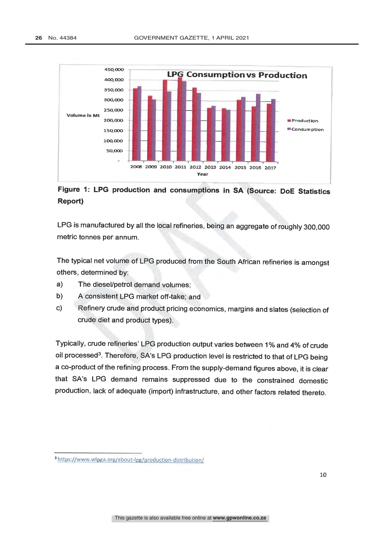

## Figure 1: LPG production and consumptions in SA (Source: DoE Statistics Report)

LPG is manufactured by all the local refineries, being an aggregate of roughly 300,000 metric tonnes per annum.

The typical net volume of LPG produced from the South African refineries is amongst others, determined by:

- a) The diesel/petrol demand volumes;
- b) A consistent LPG market off-take; and
- c) Refinery crude and product pricing economics, margins and slates (selection of crude diet and product types).

Typically, crude refineries' LPG production output varies between 1% and 4% of crude oil processed<sup>3</sup>. Therefore, SA's LPG production level is restricted to that of LPG being a co- product of the refining process. From the supply- demand figures above, it is clear that SA's LPG demand remains suppressed due to the constrained domestic production, lack of adequate (import) infrastructure, and other factors related thereto.

<sup>&</sup>lt;sup>3</sup> https://www.wipga.org/about-ipg/production-distribution/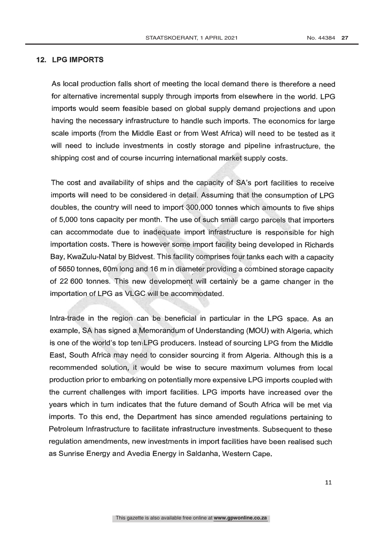#### 12. LPG IMPORTS

As local production falls short of meeting the local demand there is therefore a need for alternative incremental supply through imports from elsewhere in the world. LPG imports would seem feasible based on global supply demand projections and upon having the necessary infrastructure to handle such imports. The economics for large scale imports (from the Middle East or from West Africa) will need to be tested as it will need to include investments in costly storage and pipeline infrastructure, the shipping cost and of course incurring international market supply costs.

The cost and availability of ships and the capacity of SA's port facilities to receive imports will need to be considered in detail. Assuming that the consumption of LPG doubles, the country will need to import 300,000 tonnes which amounts to five ships of 5,000 tons capacity per month. The use of such small cargo parcels that importers can accommodate due to inadequate import 'infrastructure is responsible for high importation costs. There is however some import facility being developed in Richards Bay, KwaZulu-Natal by Bidvest. This facility comprises four tanks each with a capacity of 5650 tonnes, 60m long and 16 m in diameter providing a cómbined storage capacity of 22 600 tonnes. This new development will certainly be a game changer in the importation of LPG as VLGC will be accommodated.

Intra-trade in the region can be beneficial in particular in the LPG space. As an example, SA has signed a Memorandum of Understanding (MOU) with Algeria, which is one of the world's top ten<sub>1</sub>LPG producers. Instead of sourcing LPG from the Middle East, South Africa may need to consider sourcing it from Algeria. Although this is a recommended solution, it would be wise to secure maximum volumes from local production prior to embarking on potentially more expensive LPG imports coupled with the current challenges with import facilities. LPG imports have increased over the years which in turn indicates that the future demand of South Africa will be met via imports. To this end, the Department has since amended regulations pertaining to Petroleum Infrastructure to facilitate infrastructure investments. Subsequent to these regulation amendments, new investments in import facilities have been realised such as Sunrise Energy and Avedia Energy in Saldanha, Western Cape.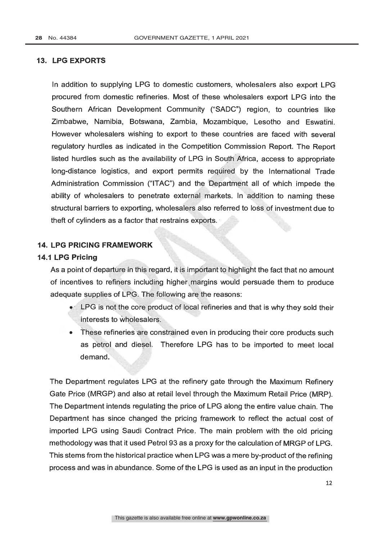#### 13. LPG EXPORTS

In addition to supplying LPG to domestic customers, wholesalers also export LPG procured from domestic refineries. Most of these wholesalers export LPG into the Southern African Development Community ("SADC") region, to countries like Zimbabwe, Namibia, Botswana, Zambia, Mozambique, Lesotho and Eswatini. However wholesalers wishing to export to these countries are faced with several regulatory hurdles as indicated in the Competition Commission Report. The Report listed hurdles such as the availability of LPG in South'Africa, access to appropriate long- distance logistics, and export permits required. by the International Trade Administration Commission ("ITAC") and the Department all of which impede the ability of wholesalers to penetrate external markets. In addition to naming these structural barriers to exporting, wholesalers also referred to loss of investment due to theft of cylinders as a factor that restrains exports.

#### 14. LPG PRICING FRAMEWORK

#### 14.1 LPG Pricing

As a point of departure in this regard, it is impórtant to highlight the fact that no amount of incentives to refiners including higher margins would persuade them to produce adequate supplies of LPG. The following are the reasons:

- LPG is not the core product of local refineries and that is why they sold their  $\bullet$ . interests to wholesalers.
- These refineries are constrained even in producing their core products such as petrol and diesel. Therefore LPG has to be imported to meet local demand.

The Department regulates LPG at the refinery gate through the Maximum Refinery Gate Price (MRGP) and also at retail level through the Maximum Retail Price (MRP). The Department intends regulating the price of LPG along the entire value chain. The Department has since changed the pricing framework to reflect the actual cost of imported LPG using Saudi Contract Price. The main problem with the old pricing methodology was that it used Petrol 93 as a proxy for the calculation of MRGP of LPG. This stems from the historical practice when LPG was a mere by-product of the refining process and was in abundance. Some of the LPG is used as an input in the production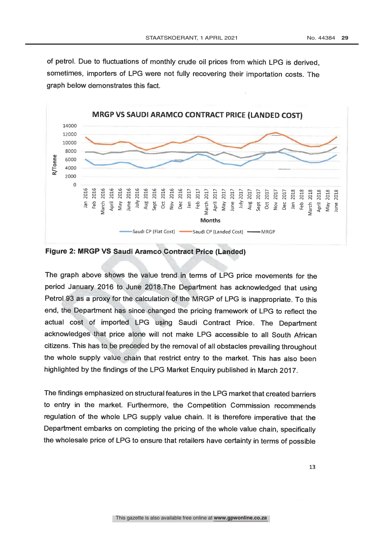of petrol. Due to fluctuations of monthly crude oil prices from which LPG is derived, sometimes, importers of LPG were not fully recovering their importation costs. The graph below demonstrates this fact.



Figure 2: MRGP VS Saudi Aramco Contract Price (Landed)

The graph above shows the value trend in terms of LPG price movements for the period January 2016 to June 2018. The Department has acknowledged that using Petrol 93 as a proxy for the calculation of the MRGP of LPG is inappropriate. To this end, the Department has since changed the pricing framework of LPG to reflect the actual cost of imported. LPG 'using Saudi Contract Price. The Department acknowledges that price alone will not make LPG accessible to all South African citizens. This has to be preceded by the removal of all obstacles prevailing throughout the whole supply value chain that restrict entry to the market. This has also been highlighted by the findings of the LPG Market Enquiry published in March 2017.

The findings emphasized on structural features in the LPG market that created barriers to entry in the market. Furthermore, the Competition Commission recommends regulation of the whole LPG supply value chain. It is therefore imperative that the Department embarks on completing the pricing of the whole value chain, specifically the wholesale price of LPG to ensure that retailers have certainty in terms of possible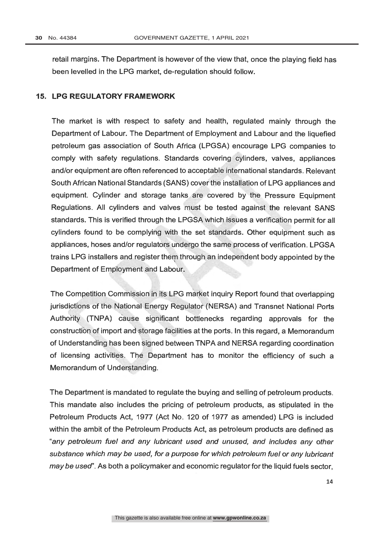retail margins. The Department is however of the view that, once the playing field has been levelled in the LPG market, de- regulation should follow.

#### 15. LPG REGULATORY FRAMEWORK

The market is with respect to safety and health, regulated mainly through the Department of Labour. The Department of Employment and Labour and the liquefied petroleum gas association of South Africa (LPGSA) encourage LPG companies to comply with safety regulations. Standards covering cylinders, valves, appliances and/or equipment are often referenced to acceptable international standards. Relevant South African National Standards (SANS) cover the installation of LPG appliances and equipment. Cylinder and storage tanks are covered by the Pressure Equipment Regulations. All cylinders and valves must be tested against the relevant SANS standards. This is verified through the LPGSA which issues a verification permit for all cylinders found to be complying with the set standards. Other equipment such as appliances, hoses and/or regulators undergo the same process of verification. LPGSA trains LPG installers and register them through an independent body appointed by the Department of Employment and Labour.

The Competition Commission in its LPG market inquiry Report found that overlapping jurisdictions of the National Energy Regulator ( NERSA) and Transnet National Ports Department of Employment and Labour.<br>The Competition Commission in its LPG market inquiry Report found that overlapping<br>jurisdictions of the National Energy Regulator (NERSA) and Transnet National Ports<br>Authority (TNPA) ca construction of import and storage facilities at the ports. In this regard, a Memorandum of Understanding has been signed between TNPA and NERSA regarding coordination of licensing activities. The Department has to monitor the efficiency of such a Memorandum of Understanding.

The Department is mandated to regulate the buying and selling of petroleum products. This mandate also includes the pricing of petroleum products, as stipulated in the Petroleum Products Act, 1977 (Act No. 120 of 1977 as amended) LPG is included within the ambit of the Petroleum Products Act, as petroleum products are defined as "any petroleum fuel and any lubricant used and unused, and includes any other substance which may be used, for a purpose for which petroleum fuel or any lubricant may be used". As both a policymaker and economic regulator for the liquid fuels sector,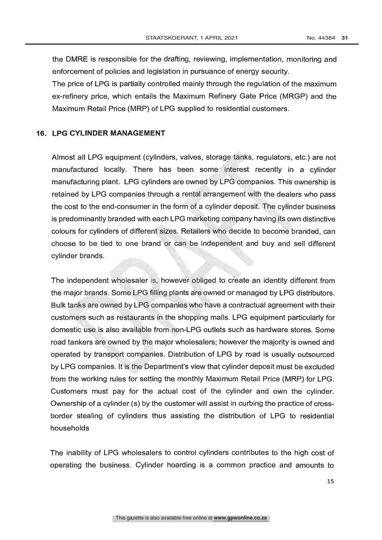the DMRE is responsible for the drafting, reviewing, implementation, monitoring and enforcement of policies and legislation in pursuance of energy security.

The price of LPG is partially controlled mainly through the regulation of the maximum ex- refinery price, which entails the Maximum Refinery Gate Price (MRGP) and the Maximum Retail Price (MRP) of LPG supplied to residential customers.

#### 16. LPG CYLINDER MANAGEMENT

Almost all LPG equipment (cylinders, valves, storage tanks, regulators, etc.) are not manufactured locally. There has been some interest recently in a cylinder manufacturing plant. LPG cylinders are owned by LPG companies. This ownership is retained by LPG companies through a rental arrangement with the dealers who pass the cost to the end-consumer in the form of a cylinder deposit. The cylinder business is predominantly branded with each LPG marketing company having its own distinctive colours for cylinders of different sizes. Retailers who decide to become branded, can choose to be tied to one brand or can be independent and buy and sell different cylinder brands.

The independent wholesaler is, however obliged to create an identity different from the major brands. Some LPG filling plants are owned or managed by LPG distributors. Bulk tanks are owned by LPG companies who have a contractual agreement with their customers such as restaurants in the shopping malls. LPG equipment particularly for domestic use is also available from non -LPG outlets such as hardware stores. Some road tankers are owned by the major wholesalers; however the majority is owned and operated by transport companies. Distribution of LPG by road is usually outsourced by LPG companies. It is the Department's view that cylinder deposit must be excluded from the working rules for setting the monthly Maximum Retail Price (MRP) for LPG. Customers must pay for the actual cost of the cylinder and own the cylinder. Ownership of a cylinder (s) by the customer will assist in curbing the practice of cross border stealing of cylinders thus assisting the distribution of LPG to residential households

The inability of LPG wholesalers to control cylinders contributes to the high cost of operating the business. Cylinder hoarding is a common practice and amounts to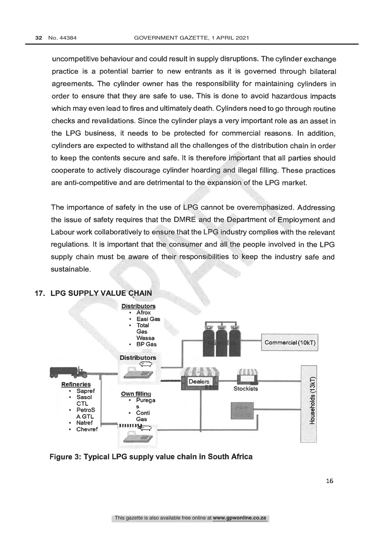uncompetitive behaviour and could result in supply disruptions. The cylinder exchange practice is a potential barrier to new entrants as it is governed through bilateral agreements. The cylinder owner has the responsibility for maintaining cylinders in order to ensure that they are safe to use. This is done to avoid hazardous impacts which may even lead to fires and ultimately death. Cylinders need to go through routine checks and revalidations. Since the cylinder plays a very important role as an asset in the LPG business, it needs to be protected for commercial reasons. In addition, cylinders are expected to withstand all the challenges of the distribution chain in order to keep the contents secure and safe. It is therefore important that all parties should cooperate to actively discourage cylinder hoarding and illegal filling. These practices are anti-competitive and are detrimental to the expansion of the LPG market.

The importance of safety in the use of LPG cannot be overemphasized. Addressing the issue of safety requires that the DMRE and the Department of Employment and Labour work collaboratively to ensure that the LPG industry complies with the relevant regulations. It is important that the consumer and all the people involved in the LPG supply chain must be aware of their responsibilities to keep the industry safe and sustainable.



#### 17. LPG SUPPLY VALUE CHAIN

Figure 3: Typical LPG supply value chain in South Africa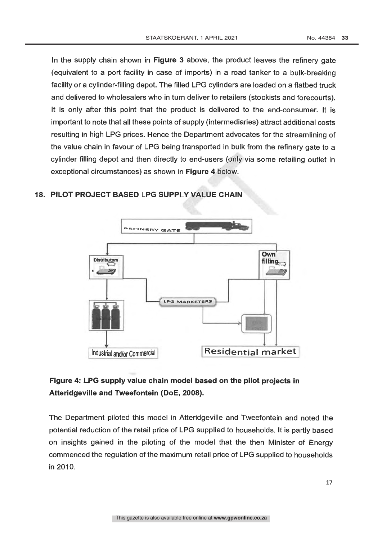In the supply chain shown in Figure 3 above, the product leaves the refinery gate (equivalent to a port facility in case of imports) in a road tanker to a bulk- breaking facility or a cylinder -filling depot. The filled LPG cylinders are loaded on a flatbed truck and delivered to wholesalers who in turn deliver to retailers (stockists and forecourts). It is only after this point that the product is delivered to the end-consumer. It is important to note that all these points of supply (intermediaries) attract additional costs resulting in high LPG prices. Hence the Department advocates for the streamlining of the value chain in favour of LPG being transported in bulk from the refinery gate to a cylinder filling depot and then directly to end-users (only via some retailing outlet in exceptional circumstances) as shown in Figure 4 below.



#### 18. PILOT PROJECT BASED LPG SUPPLY VALUE CHAIN

### Figure 4: LPG supply value chain model based on the pilot projects in Atteridgeville and Tweefontein (DoE, 2008).

The Department piloted this model in Atteridgeville and Tweefontein and noted the potential reduction of the retail price of LPG supplied to households. It is partly based on insights gained in the piloting of the model that the then Minister of Energy commenced the regulation of the maximum retail price of LPG supplied to households in 2010.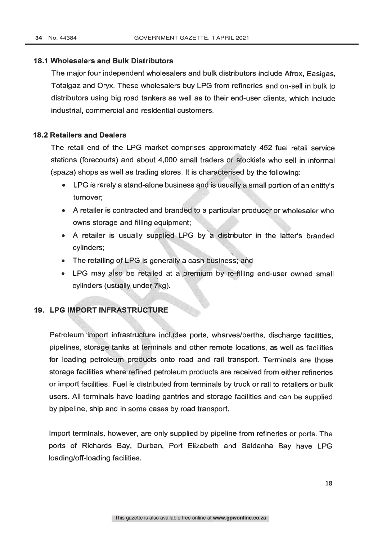#### 18.1 Wholesalers and Bulk Distributors

The major four independent wholesalers and bulk distributors include Afrox, Easigas, Totalgaz and Oryx. These wholesalers buy LPG from refineries and on -sell in bulk to distributors using big road tankers as well as to their end -user clients, which include industrial, commercial and residential customers.

#### 18.2 Retailers and Dealers

The retail end of the LPG market comprises approximately 452 fuel retail service stations (forecourts) and about 4,000 small traders of stockists who sell in informal (spaza) shops as well as trading stores. It is characterised by the following:

- LPG is rarely a stand -alone business and is usually a small portion of an entity's turnover;
- A retailer is contracted and brandèd to a particular producer or wholesaler who owns storage and filling equipment;
- A retailer is usually supplied LPG by a distributor in the latter's branded cylinders;
- $\bullet$  The retailing of LPG is generally a cash business; and
- LPG may also be retailed at a premium by re-filling end-user owned small cylinders (usually under 7kg).

#### 19. LPG IMPORT INFRASTRUCTURE

Petroleum import infrastructure includes ports, wharves/berths, discharge facilities, pipelines, storage tanks at terminals and other remote locations, as well as facilities for loading petroleum products onto road and rail transport. Terminals are those storage facilities where refined petroleum products are received from either refineries or import facilities. Fuel is distributed from terminals by truck or rail to retailers or bulk users. All terminals have loading gantries and storage facilities and can be supplied by pipeline, ship and in some cases by road transport.

Import terminals, however, are only supplied by pipeline from refineries or ports. The ports of Richards Bay, Durban, Port Elizabeth and Saldanha Bay have LPG loading/off-loading facilities.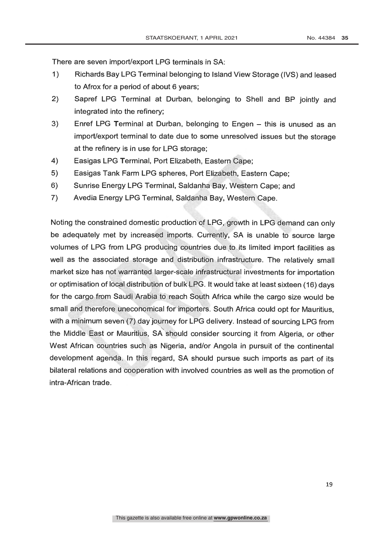There are seven import/export LPG terminals in SA:

- 1) Richards Bay LPG Terminal belonging to Island View Storage (IVS) and leased to Afrox for a period of about 6 years;
- 2) Sapref LPG Terminal at Durban, belonging to Shell and BP jointly and integrated into the refinery;
- 3) Enref LPG Terminal at Durban, belonging to Engen this is unused as an import/export terminal to date due to some unresolved issues but the storage at the refinery is in use for LPG storage;
- 4) Easigas LPG Terminal, Port Elizabeth, Eastern Cape;
- 5) Easigas Tank Farm LPG spheres, Port Elizabeth, Eastern Cape;
- 6) Sunrise Energy LPG Terminal, Saldanha Bay, Western Cape; and
- 7) Avedia Energy LPG Terminal, Saldanha Bay, Western Cape.

Noting the constrained domestic production of LPG, growth in LPG demand can only be adequately met by increased imports. Currently, SA is unable to source large volumes of LPG from LPG producing countries due to its limited import facilities as well as the associated storage and distribution infrastructure. The relatively small market size has not warranted larger -scale infrastructural investments for importation or optimisation of local distribution of bulk LPG. It would take at least sixteen (16) days for the cargo from Saùdj Arabia to reach South Africa while the cargo size would be small and therefore uneconomical for importers. South Africa could opt for Mauritius, with a minimum sevem(7) day journey for LPG delivery. Instead of sourcing LPG from the Middle East or Mauritius, SÁ should consider sourcing it from Algeria, or other West African countries such as Nigeria, and/or Angola in pursuit of the continental development agenda. In this regard, SA should pursue such imports as part of its bilateral relations and cooperation with involved countries as well as the promotion of intra-African trade.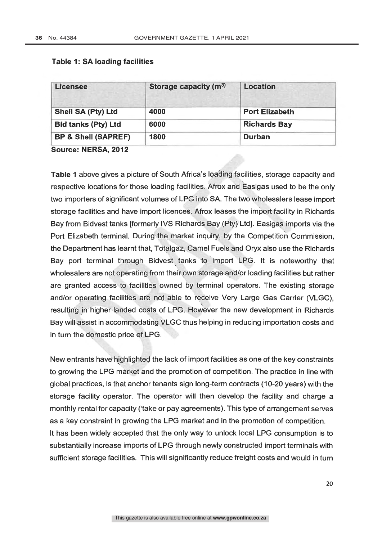| <b>Licensee</b>                | Storage capacity (m <sup>3)</sup> | <b>Location</b>                                                                          |
|--------------------------------|-----------------------------------|------------------------------------------------------------------------------------------|
| <b>Shell SA (Pty) Ltd</b>      | 4000                              | <b>Port Elizabeth</b>                                                                    |
| <b>Bid tanks (Pty) Ltd</b>     | 6000                              | <b>Richards Bay</b>                                                                      |
| <b>BP &amp; Shell (SAPREF)</b> | 1800                              | Durban                                                                                   |
| Source: NERSA, 2012            |                                   |                                                                                          |
|                                |                                   |                                                                                          |
|                                |                                   | Table 1 above gives a picture of South Africa's loading facilities, storage capacity and |
|                                |                                   | respective locations for those loading facilities. Afrox and Easigas used to be the only |

#### **Table 1: SA loading facilities**

respective locations for those loading facilities. Afrox and Easigas used to be the only two importers of significant volumes of LPG into SA. The two wholesalers lease import storage facilities and have import licences. Afrox leases the import facility in Richards Bay from Bidvest tanks [formerly IVS Richards Bay (Pty) Ltd]. Easigas imports via the Port Elizabeth terminal. During the market inquiry, by the Competition Commission, the Department has learnt that, Totalgaz, Camel Fuels and Oryx also use the Richards Bay port terminal through Bidvest tanks to import LPG. It is noteworthy that wholesalers are not operating from their own storage and/or loading facilities but rather are granted access to facilities owned by terminal operators. The existing storage and/or operating facilities are not able to receive Very Large Gas Carrier (VLGC), resulting in higher landed costs of LPG. However the new development in Richards Bay will assist in accommodating VLGC thus helping in reducing importation costs and in turn the domestic price of LPG.

New entrants have highlighted the lack of import facilities as one of the key constraints to growing the LPG market and the promotion of competition. The practice in line with global practices, is that anchor tenants sign long -term contracts (10 -20 years) with the storage facility operator. The operator will then develop the facility and charge a monthly rental for capacity ('take or pay agreements). This type of arrangement serves as a key constraint in growing the LPG market and in the promotion of competition. It has been widely accepted that the only way to unlock local LPG consumption is to substantially increase imports of LPG through newly constructed import terminals with sufficient storage facilities. This will significantly reduce freight costs and would in turn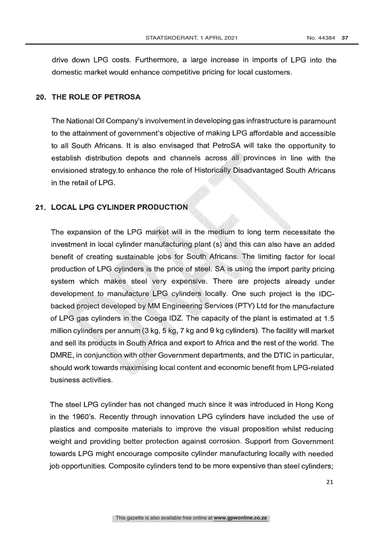drive down LPG costs. Furthermore, a large increase in imports of LPG into the domestic market would enhance competitive pricing for local customers.

#### 20. THE ROLE OF PETROSA

The National Oil Company's involvement in developing gas infrastructure is paramount to the attainment of government's objective of making LPG affordable and accessible to all South Africans. It is also envisaged that PetroSA will take the opportunity to establish distribution depots and channels across all provinces in line with the envisioned strategy.to enhance the role of Historicálly Disadvantaged South Africans in the retail of LPG.

#### 21. LOCAL LPG CYLINDER PRODUCTION

The expansion of the LPG market will in the medium to long term necessitate the investment in local cylinder manufacturing plant (s) and this can also have an added benefit of creating sustainable jobs for South Africans. The limiting factor for local production of LPG cylinders is the price of steel. SA is using the import parity pricing system which makes steel very expensive. There are projects already under development to manufacture LPG cylinders locally. One such project is the IDCbacked project developed by MM Engineering Services (PTY) Ltd for the manufacture of LPG gas cylinders in the Coega IDZ. The capacity of the plant is estimated at 1.5 million cylinders per annum (3 kg, 5 kg, 7 kg and 9 kg cylinders). The facility will market and sell its products in South Africa and export to Africa and the rest of the world. The DMRE, in conjunction with other Government departments, and the DTIC in particular, should work towards maximising local content and economic benefit from LPG -related business activities.

The steel LPG cylinder has not changed much since it was introduced in Hong Kong in the 1960's. Recently through innovation LPG cylinders have included the use of plastics and composite materials to improve the visual proposition whilst reducing weight and providing better protection against corrosion. Support from Government towards LPG might encourage composite cylinder manufacturing locally with needed job opportunities. Composite cylinders tend to be more expensive than steel cylinders;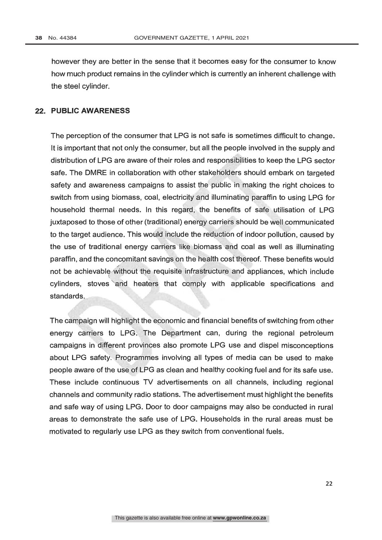however they are better in the sense that it becomes easy for the consumer to know how much product remains in the cylinder which is currently an inherent challenge with the steel cylinder.

#### 22. PUBLIC AWARENESS

The perception of the consumer that LPG is not safe is sometimes difficult to change. It is important that not only the consumer, but all the people involved in the supply and distribution of LPG are aware of their roles and responsibilities to keep the LPG sector safe. The DMRE in collaboration with other stakeholders should embark on targeted safety and awareness campaigns to assist the public in making the right choices to switch from using biomass, coal, electricity and illuminating paraffin to using LPG for household thermal needs. In this regard, the benefits of safe utilisation of LPG juxtaposed to those of other (traditional) energy carriers should be well communicated to the target audience. This would include the reduction of indoor pollution, caused by the use of traditional energy carriers like biomass and coal as well as illuminating paraffin, and the concomitant savings on the health cost thereof. These benefits would not be achievable without the requisite infrastructure and appliances, which include cylinders, stoves and heaters that comply with applicable specifications and standards.

The campaign will highlight the economic and financial benefits of switching from other energy carriers to LPG. The Department can, during the regional petroleum campaigns in different provinces also promote LPG use and dispel misconceptions about LPG safety. Programmes involving all types of media can be used to make people aware of the use of LPG as clean and healthy cooking fuel and for its safe use. These include continuous TV advertisements on all channels, including regional channels and community radio stations. The advertisement must highlight the benefits and safe way of using LPG. Door to door campaigns may also be conducted in rural areas to demonstrate the safe use of LPG. Households in the rural areas must be motivated to regularly use LPG as they switch from conventional fuels.